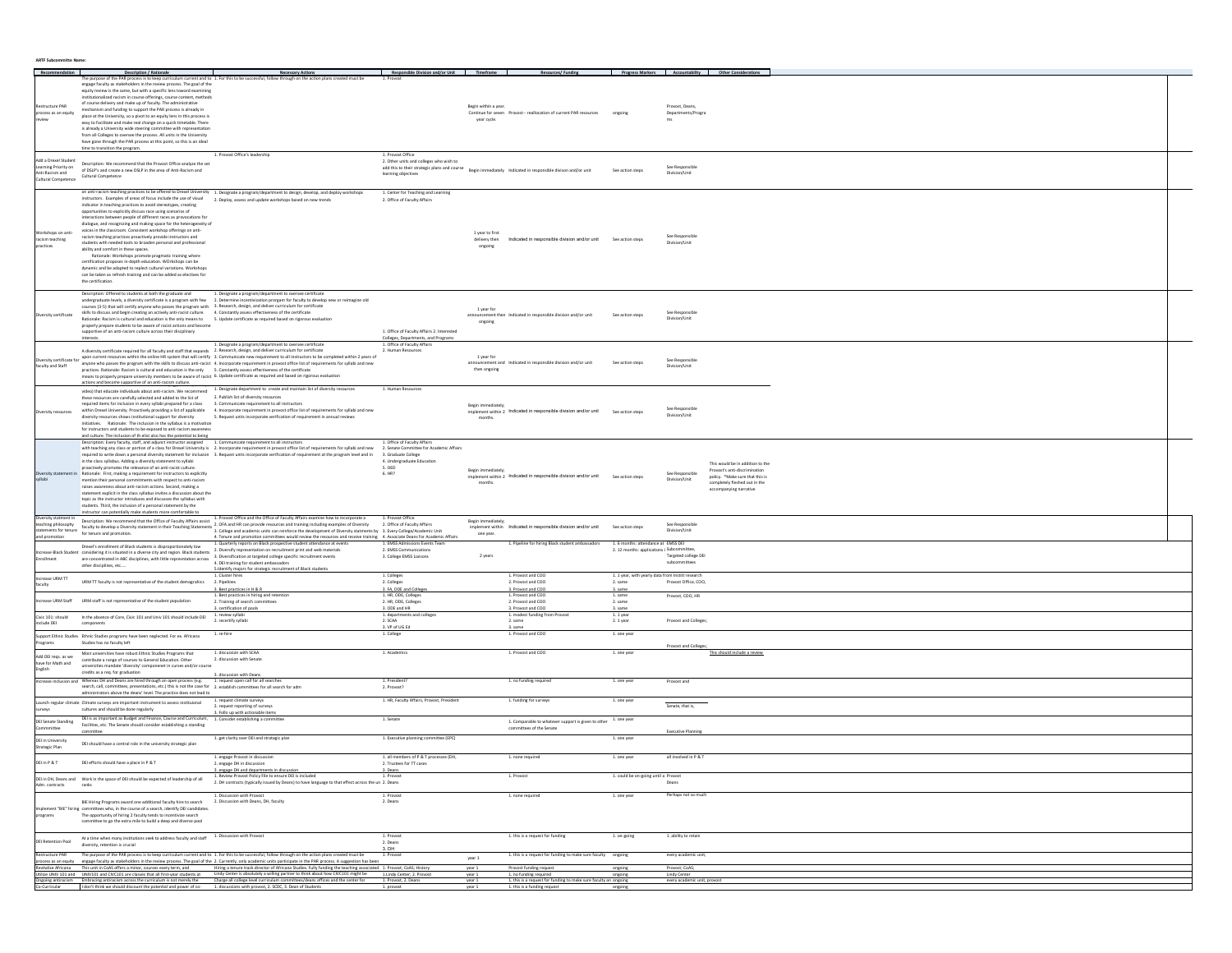| <b>ARTF Subcommitte Name:</b> |  |
|-------------------------------|--|
|                               |  |

|                                                               |                                                                                                                                                                                                                                                                                                                                                                                                            |                                                                                                                                                                                                                                                                                                                                                                                                                                                     |                                                                                     |                                 |                                                                                                             |                                                                                |                                       | Progress Markers Accountability Other Considera                  |
|---------------------------------------------------------------|------------------------------------------------------------------------------------------------------------------------------------------------------------------------------------------------------------------------------------------------------------------------------------------------------------------------------------------------------------------------------------------------------------|-----------------------------------------------------------------------------------------------------------------------------------------------------------------------------------------------------------------------------------------------------------------------------------------------------------------------------------------------------------------------------------------------------------------------------------------------------|-------------------------------------------------------------------------------------|---------------------------------|-------------------------------------------------------------------------------------------------------------|--------------------------------------------------------------------------------|---------------------------------------|------------------------------------------------------------------|
|                                                               | Description / Rational                                                                                                                                                                                                                                                                                                                                                                                     | <b>Necessary Action</b>                                                                                                                                                                                                                                                                                                                                                                                                                             | Responsible Division and/or Unit                                                    |                                 |                                                                                                             |                                                                                |                                       |                                                                  |
| Restructure PAR<br>process as an equity                       | engage faculty as stakeholders in the review process. The goal of the<br>equity review is the same, but with a specific lens toward examining<br>nstitutionalized racism in course offerings, course content, method<br>of course delivery and make up of faculty. The administrative<br>mechanism and funding to support the PAR process is already in                                                    | llow through on the action plar                                                                                                                                                                                                                                                                                                                                                                                                                     |                                                                                     | Begin within a year.            | Continue for seven Provost-- reallocation of current PAR resources                                          |                                                                                | Provost, Deans,<br>Departments/Progra |                                                                  |
|                                                               | place at the University, so a pivot to an equity lens in this process is<br>easy to facilitate and make real change on a quick timetable. There<br>is already a University wide steering committee with representation<br>from all Colleges to oversee the process. All units in the University<br>have gone through the PAR process at this point, so this is an ideal<br>time to transition the program. |                                                                                                                                                                                                                                                                                                                                                                                                                                                     |                                                                                     | year cycle.                     |                                                                                                             |                                                                                |                                       |                                                                  |
| Add a Drexel Student<br>Anti-Racism and                       | Description: We recommend that the Provost Office analyze the set<br>Learning Priority on DSC (Planticus) and Create a new DSLP in the area of Anti-Racism and<br>Cultural Competence                                                                                                                                                                                                                      | 1. Provost Office's leadershi                                                                                                                                                                                                                                                                                                                                                                                                                       | 1. Provost Office<br>2. Other units and colleges who wish to<br>learning objectives |                                 | add this to their strategic plans and course Begin immediately Indicated in responsible divison and/or unit | See action steps                                                               | See Responsible<br>Division/Unit      |                                                                  |
| <b>Cultural Competence</b>                                    |                                                                                                                                                                                                                                                                                                                                                                                                            |                                                                                                                                                                                                                                                                                                                                                                                                                                                     |                                                                                     |                                 |                                                                                                             |                                                                                |                                       |                                                                  |
|                                                               | instructors. Examples of areas of focus include the use of visual 2. Deploy, assess and update workshops based on new trends<br>indicator in teaching practices to avoid stereotypes, creating                                                                                                                                                                                                             | on anti-racism teaching practices to be offered to Drexel University 1. Designate a program/department to design, develop, and deploy workshops                                                                                                                                                                                                                                                                                                     | 1. Center for Teaching and Learning<br>2. Office of Faculty Affairs                 |                                 |                                                                                                             |                                                                                |                                       |                                                                  |
| Workshops on anti-                                            | opportunities to explicitly discuss race using scenarios of<br>interactions between people of different races as provocations for<br>dialogue, and recognizing and making space for the heterogeneity of<br>voices in the classroom. Consistent workshop offerings on anti                                                                                                                                 |                                                                                                                                                                                                                                                                                                                                                                                                                                                     |                                                                                     | 1 year to first                 |                                                                                                             |                                                                                |                                       |                                                                  |
| racism teaching<br>practices                                  | racism teaching practices proactively provide instructors and<br>students with needed tools to broaden personal and professional<br>ability and comfort in these spaces.                                                                                                                                                                                                                                   |                                                                                                                                                                                                                                                                                                                                                                                                                                                     |                                                                                     | delivery then<br>ongoing        | Indicated in responsible division and/or unit See action steps                                              |                                                                                | See Responsible<br>Division/Unit      |                                                                  |
|                                                               | Rationale: Workshops promote pragmatic training where                                                                                                                                                                                                                                                                                                                                                      |                                                                                                                                                                                                                                                                                                                                                                                                                                                     |                                                                                     |                                 |                                                                                                             |                                                                                |                                       |                                                                  |
|                                                               | certification proposes in-depth education. WOrkshops can be<br>dynamic and be adapted to replect cultural variations. Workshops<br>can be taken as refresh training and can be added as electives for<br>the certification                                                                                                                                                                                 |                                                                                                                                                                                                                                                                                                                                                                                                                                                     |                                                                                     |                                 |                                                                                                             |                                                                                |                                       |                                                                  |
|                                                               | Description: Offered to students at both the graduate and                                                                                                                                                                                                                                                                                                                                                  | 1. Designate a program/department to oversee certificate<br>undergraduate levels, a diversity certificate is a program with few 2. Determine incentivization prorgam for faculty to develop new or reimagine old                                                                                                                                                                                                                                    |                                                                                     |                                 |                                                                                                             |                                                                                |                                       |                                                                  |
|                                                               | courses (3-5) that will certify anyone who passes the program with 3. Research, design, and deliver curriculum for certificate<br>skills to discuss and begin creating an actively anti-racist culture. 4. Constantly assess effectiveness of the certificate                                                                                                                                              |                                                                                                                                                                                                                                                                                                                                                                                                                                                     |                                                                                     | 1 year for                      |                                                                                                             |                                                                                | See Responsible                       |                                                                  |
| ersity certificate                                            | Rationale: Racism is cultural and education is the only means to 5. Update certificate as required based on rigorous evaluation<br>properly prepare students to be aware of racist actions and become                                                                                                                                                                                                      |                                                                                                                                                                                                                                                                                                                                                                                                                                                     |                                                                                     | ongoing                         | announcement then Indicated in responsible division and/or unit                                             | See action steps                                                               | Division/Unit                         |                                                                  |
|                                                               | supportive of an anti-racism culture across their discplinary<br>interests.                                                                                                                                                                                                                                                                                                                                |                                                                                                                                                                                                                                                                                                                                                                                                                                                     | 1. Office of Faculty Affairs 2. Interested<br>Colleges, Departments, and Programs   |                                 |                                                                                                             |                                                                                |                                       |                                                                  |
|                                                               | A diversity certificate required for all faculty and staff that expands 2. Research, design, and deliver curriculum for certificate                                                                                                                                                                                                                                                                        | 1. Designate a program/department to oversee certificate                                                                                                                                                                                                                                                                                                                                                                                            | 1. Office of Faculty Affair<br>2. Human Resources                                   |                                 |                                                                                                             |                                                                                |                                       |                                                                  |
|                                                               |                                                                                                                                                                                                                                                                                                                                                                                                            | wersity certificate for upon current resources within the online HR system that will certify 3. Communicate new requirement to all instructors to be completed within 2 years of                                                                                                                                                                                                                                                                    |                                                                                     | 1 year for                      | announcement and Indicated in responsible division and/or unit                                              | See action step                                                                | See Responsible                       |                                                                  |
| faculty and Staff                                             | practices. Rationale: Racism is cultural and education is the only 5. Constantly assess effectiveness of the certificate                                                                                                                                                                                                                                                                                   | anyone who passes the program with the skills to discuss anti-racist 4. Incorporate requirement in provost office list of requirements for syllabi and new                                                                                                                                                                                                                                                                                          |                                                                                     | then ongoing                    |                                                                                                             |                                                                                | Division/Unit                         |                                                                  |
|                                                               | means to properly prepare university members to be aware of racist 6. Update certificate as required and based on rigorous evaluation<br>actions and become supportive of an anti-racism culture.<br>www.avy.reason.com/supportive-searchitecture.com/supportions/                                                                                                                                         | 1. Designate department to create and maintain list of diversity resources                                                                                                                                                                                                                                                                                                                                                                          | 1. Human Resources                                                                  |                                 |                                                                                                             |                                                                                |                                       |                                                                  |
|                                                               | video) that educate individuals about anti-racism. We recommend<br>these resources are carefully selected and added to the list of 2. Publish list of diversity resources                                                                                                                                                                                                                                  |                                                                                                                                                                                                                                                                                                                                                                                                                                                     |                                                                                     |                                 |                                                                                                             |                                                                                |                                       |                                                                  |
| ersity resources                                              | required items for inclusion in every syllabi prepared for a class 3. Communicate requirement to all instructor:                                                                                                                                                                                                                                                                                           | within Drexel University. Proactively providing a list of applicable 4. Incorporate requirement in provost office list of requirements for syllabi and new                                                                                                                                                                                                                                                                                          |                                                                                     | Begin immediately               | implement within 2 Indicated in responsible division and/or unit See action steps                           |                                                                                | See Responsible<br>Division/Unit      |                                                                  |
|                                                               | diversity resources shows institutional support for diversity<br>initiatives. Rationale: The inclusion in the syllabus is a motivation                                                                                                                                                                                                                                                                     | 5. Request units incorporate verification of requirement in annual reviews                                                                                                                                                                                                                                                                                                                                                                          |                                                                                     | months.                         |                                                                                                             |                                                                                |                                       |                                                                  |
|                                                               | for instructors and students to be exposed to anti-racism awareness<br>and culture. The inclusion of th elist also has the potential to being                                                                                                                                                                                                                                                              |                                                                                                                                                                                                                                                                                                                                                                                                                                                     |                                                                                     |                                 |                                                                                                             |                                                                                |                                       |                                                                  |
|                                                               | Description: Every faculty, staff, and adjunct instructor assigned                                                                                                                                                                                                                                                                                                                                         | 1. Communicate requirement to all instructors<br>with teaching any class or portion of a class for Drexel University is 2. Incorporate requirement in provost office list of requirements for syllabi and new 2. Senate Committee for Academic Affairs                                                                                                                                                                                              | 1. Office of Faculty Affairs                                                        |                                 |                                                                                                             |                                                                                |                                       |                                                                  |
|                                                               | in the class syllabus. Adding a diversity statement to syllabi                                                                                                                                                                                                                                                                                                                                             | required to write down a personal diversity statement for inclusion 3. Request units incorporate verification of requirement at the program level and in                                                                                                                                                                                                                                                                                            | 3. Graduate College<br>4. Undergraduate Education                                   |                                 |                                                                                                             |                                                                                |                                       | This would be in addition to the                                 |
|                                                               | proactively promotes the relevance of an anti-racist culture.<br>Diversity statement in Rationale: First, making a requirement for instructors to explicitly                                                                                                                                                                                                                                               |                                                                                                                                                                                                                                                                                                                                                                                                                                                     | 5. OED<br>6.HR?                                                                     | Begin immediately               | implement within 2 Indicated in responsible division and/or unit See action steps                           |                                                                                | See Responsible                       | Provost's anti-discrimination<br>policy. *Make sure that this is |
|                                                               | mention their personal commitments with respect to anti-racism<br>raises awareness about anti-racism actions. Second, making a                                                                                                                                                                                                                                                                             |                                                                                                                                                                                                                                                                                                                                                                                                                                                     |                                                                                     |                                 |                                                                                                             |                                                                                | Division/Unit                         | completely fleshed out in the<br>accompanying narrative          |
|                                                               | statement explicit in the class syllabus invites a discussion about the<br>tooic as the instructor introduces and discusses the syllabus with<br>students. Third, the inclusion of a personal statement by th<br>instructor can potentially make students more comfortable to                                                                                                                              |                                                                                                                                                                                                                                                                                                                                                                                                                                                     |                                                                                     |                                 |                                                                                                             |                                                                                |                                       |                                                                  |
| Diversity statment in<br>teaching philosophy<br>and promotion | Description: We recommend that the Office of Faculty Affairs assist<br>statements for tenure for tenure and promotion.                                                                                                                                                                                                                                                                                     | 1. Provost Office and the Office of Faculty Affairs examine how to incorporate a<br>Description: We recommend that the Office of Faculty Affairs assist<br>faculty to develop a Diversity astement in their Teaching Statements 2.0FA and HR can provide resources and training including examples of Diversity 2.0ff<br>4. Tenure and promotion committees would review the resources and receive training 4. Associate Deans for Academic Affairs | 1. Provost Office                                                                   | Begin immediately:<br>one year. | implement within Indicated in responsible division and/or unit                                              | See action steps                                                               | See Responsible<br>Division/Unit      |                                                                  |
|                                                               | Drexel's enrollment of Black students is disproportionately low<br>ncrease Black Student considering it is situated in a diverse city and region. Black students 2. Diversify representation on recruitment print and web materials                                                                                                                                                                        | 1. Quarterly reports on Black prospective student attendance at events                                                                                                                                                                                                                                                                                                                                                                              | 1. EMSS Admissions Events Team<br>2. EMSS Communications                            |                                 | 1. Pipeline for hiring Black student ambassadors                                                            | 1.6 months: attendance at EMSS DEI<br>2.12 months: applications   Subcommittee |                                       |                                                                  |
| inrollment                                                    | are concentrated in ABC disciplines, with little represntation across<br>other disciplines, etc                                                                                                                                                                                                                                                                                                            | 3. Diversification at targeted college specific recruitment events<br>4. DEI training for student ambassadors<br>5. Identify majors for strategic recruitment of Black students                                                                                                                                                                                                                                                                     | 3. College EMSS Liaisons                                                            | 2 years                         |                                                                                                             |                                                                                | Targeted college DE<br>subcommittees  |                                                                  |
| Increase URM TT                                               | URM TT faculty is not representative of the student demograhics 2. Pipelines                                                                                                                                                                                                                                                                                                                               | 1. Cluster hire                                                                                                                                                                                                                                                                                                                                                                                                                                     | 1. Colleges<br>2. Colleges                                                          |                                 | 1. Provost and COO<br>2. Provost and COO                                                                    | 1. 1 year, with yearly data from Institt research<br>2. same                   | Provost Office, COO.                  |                                                                  |
|                                                               |                                                                                                                                                                                                                                                                                                                                                                                                            | 3. Best practices in H & R<br>1. Best practices in hiring and retention                                                                                                                                                                                                                                                                                                                                                                             | 3. FA, ODE and Colleges<br>1. HR, ODE, Colleges                                     |                                 | 3. Provost and COO<br>1. Provost and COO                                                                    | 3. same<br>1. same                                                             | Provost, CDO, HR                      |                                                                  |
|                                                               | crease URM Staff URM staff is not representative of the student population                                                                                                                                                                                                                                                                                                                                 | 2. Training of search committees<br>3. certification of pools<br>1. review svilabi                                                                                                                                                                                                                                                                                                                                                                  | 2. HR, ODE, Colleges<br>3. ODE and HR                                               |                                 | 2. Provost and COO<br>3. Provost and COO                                                                    | 2. same<br>3. same                                                             |                                       |                                                                  |
| Civic 101: should<br>include DEI                              | In the absence of Core, Civic 101 and Univ 101 should include DEI<br>components                                                                                                                                                                                                                                                                                                                            | 2. recertify syllabi                                                                                                                                                                                                                                                                                                                                                                                                                                | 1. departments and colleges<br>2. SCAA<br>3. VP of UG Ed                            |                                 | 1. modest funding from Provost<br>2. same                                                                   | 1.1 year<br>2.1 year                                                           | Provost and Colleges;                 |                                                                  |
| Programs                                                      | Support Ethnic Studies Ethnic Studies programs have been neglected. For ex. Africana<br>Studies has no faculty left                                                                                                                                                                                                                                                                                        | 1. re-hire                                                                                                                                                                                                                                                                                                                                                                                                                                          | 1. College                                                                          |                                 | 3. same<br>1. Provost and COO                                                                               | 1. one yea                                                                     |                                       |                                                                  |
| Add DEI regs, as we                                           | Most universities have robust Ethnic Studies Programs that                                                                                                                                                                                                                                                                                                                                                 | 1. discussion with SCAA                                                                                                                                                                                                                                                                                                                                                                                                                             | 1. Academics                                                                        |                                 | 1. Provost and COO                                                                                          | 1. one year                                                                    | Provost and Colleges;                 | This should include a review                                     |
| have for Math and<br>English                                  | contribute a range of courses to General Education. Other<br>universities mandate 'diversity' componenet in curses and/or course<br>credits as a req. for graduation                                                                                                                                                                                                                                       | 2. discussion with Senate<br>3. discussion with Deans                                                                                                                                                                                                                                                                                                                                                                                               |                                                                                     |                                 |                                                                                                             |                                                                                |                                       |                                                                  |
| Increase inclusion and                                        | Whereas DH and Deans are hired through an open process (e.g. 1. request open call for all searcher<br>search, call, committees, presentations, etc.) this is not the case for 2. establish committees for all search for adm                                                                                                                                                                               |                                                                                                                                                                                                                                                                                                                                                                                                                                                     | 1. President<br>2. Provost?                                                         |                                 | 1. no funding required                                                                                      | 1. one year                                                                    | Provost and                           |                                                                  |
| <b>Irveys</b>                                                 | administrators above the deans' level. The practice does not lead to<br>Launch regular climate Climate surveys are important instrument to assess instituional<br>cultures and should be done regularly                                                                                                                                                                                                    | 1. request climate surveys<br>2. request reporting of surveys                                                                                                                                                                                                                                                                                                                                                                                       | 1. HR, Faculty Affairs, Provost, President                                          |                                 | 1. funding for surveys                                                                                      | 1. one year                                                                    | Senate, that is,                      |                                                                  |
| <b>DEI Senate Standing</b>                                    | DEI is as important as Budget and Finance, Course and Curriculum, 1. Consider establishing a committee                                                                                                                                                                                                                                                                                                     | 3. Follo up with actionable item:                                                                                                                                                                                                                                                                                                                                                                                                                   | 1. Senate                                                                           |                                 | 1. Comparable to whatever support is given to other                                                         | 1. one year                                                                    |                                       |                                                                  |
| mmittee                                                       | Facilities, etc. The Senate should consider establishing a standing<br>committee                                                                                                                                                                                                                                                                                                                           | 1, get clarity over DEI and strategic plan                                                                                                                                                                                                                                                                                                                                                                                                          |                                                                                     |                                 | committees of the Senate                                                                                    | 1, one year                                                                    | <b>Executive Plannin</b>              |                                                                  |
| DEI in University<br>Strategic Plan                           | DEI should have a central role in the university strategic plan                                                                                                                                                                                                                                                                                                                                            |                                                                                                                                                                                                                                                                                                                                                                                                                                                     | 1. Executive planning committee (EPC)<br>1. all members of P & T processes (DH,     |                                 |                                                                                                             |                                                                                | all involved in P & T                 |                                                                  |
| DEI in P & T                                                  | DEI efforts should have a place in P & T                                                                                                                                                                                                                                                                                                                                                                   | 1. engage Provost in discussion<br>2, engage DH in discussion<br>3. engage DH and departments in discussion                                                                                                                                                                                                                                                                                                                                         | 2. Trustees for TT cases<br>3. Deans                                                |                                 | 1. none required                                                                                            | 1. one yea                                                                     |                                       |                                                                  |
| Adm. contracts                                                | DEI in DH, Deans and Work in the space of DEI should be expected of leadership of all<br>ranks                                                                                                                                                                                                                                                                                                             | 1. Review Provost Policy File to ensure DEI is included<br>2. DH contracts (typically issued by Deans) to have language to that effect across the un 2. Deans                                                                                                                                                                                                                                                                                       |                                                                                     |                                 | 1. Provost                                                                                                  | 1. could be on-going until a Provost                                           | Deans                                 |                                                                  |
|                                                               | BIE Hiring Programs award one additional faculty hire to search 2. Discussion with Deans, DH, faculty                                                                                                                                                                                                                                                                                                      | 1. Discussion with Provost                                                                                                                                                                                                                                                                                                                                                                                                                          | 1. Provost<br>2. Deans                                                              |                                 | 1. none required                                                                                            | 1. one year                                                                    | Perhaps not so much                   |                                                                  |
| programs                                                      | ment "BIE" hiring committees who, in the course of a search, identify DEI candidates.<br>The opportunity of hiring 2 faculty tends to incentivize search<br>committee to go the extra mile to build a deep and diverse pool                                                                                                                                                                                |                                                                                                                                                                                                                                                                                                                                                                                                                                                     |                                                                                     |                                 |                                                                                                             |                                                                                |                                       |                                                                  |
| DEI Retention Pool                                            | At a time when many institutions seek to address faculty and staff $1.$ Discussion with Provost<br>diversity, retention is crucial                                                                                                                                                                                                                                                                         |                                                                                                                                                                                                                                                                                                                                                                                                                                                     | 1. Provost<br>2. Deans<br>3. DH                                                     |                                 | 1. this is a request for funding                                                                            | 1. on-going                                                                    | 1. ability to retain                  |                                                                  |
| Restructure PAR                                               |                                                                                                                                                                                                                                                                                                                                                                                                            | The purpose of the PAR process is to keep curriculum current and to 1. For this to be successful, follow through on the action plans created must be<br>process as an equity engage faculty as stakeholders in the review process. The goal of the 2. Currently, only academic units participate in the PAR process. A suggestion has been                                                                                                          | 1. Provost                                                                          | year 1                          | 1. this is a request for funding to make sure faculty ongoing                                               |                                                                                | every academic unit,                  |                                                                  |
|                                                               |                                                                                                                                                                                                                                                                                                                                                                                                            | Revitalize Africana This unit in CoAS offers a minor, courses every term, and Hiring a tenure track director of Africana Studies. Fully funding the teaching assoc<br>Utilize UNIV 101 and UNIV101 and CIVC101 are classes that a<br>Hiring a tenure track director of Africana Studies. Fully funding the teaching associated 1. Provost: CoAS: History                                                                                            | 1.Lindy Center; 2. Pro                                                              | year 1<br>year 3                | Provost funding request<br>1. no funding require                                                            | ongoing<br>ongoing                                                             | Provost; CoAS;<br><b>Lindy Center</b> |                                                                  |
|                                                               | Co-Curricular   I don't think we should discount the potential and power of co- 1. discussions with provost, 2. SCDC, 3. Dean of Students                                                                                                                                                                                                                                                                  | Ongoing antiracism Embracing antiracism across the curriculum is not merely the Charge all college level curriculum committees/deans offices and the center for                                                                                                                                                                                                                                                                                     | 1. Provost, 2. Deans<br>1. provost                                                  | year 1<br>year 1                | 1. this is a request for funding to make sure faculty an ongoing<br>1. this is a funding request            | ongoing                                                                        | every academic unit, provost          |                                                                  |
|                                                               |                                                                                                                                                                                                                                                                                                                                                                                                            |                                                                                                                                                                                                                                                                                                                                                                                                                                                     |                                                                                     |                                 |                                                                                                             |                                                                                |                                       |                                                                  |